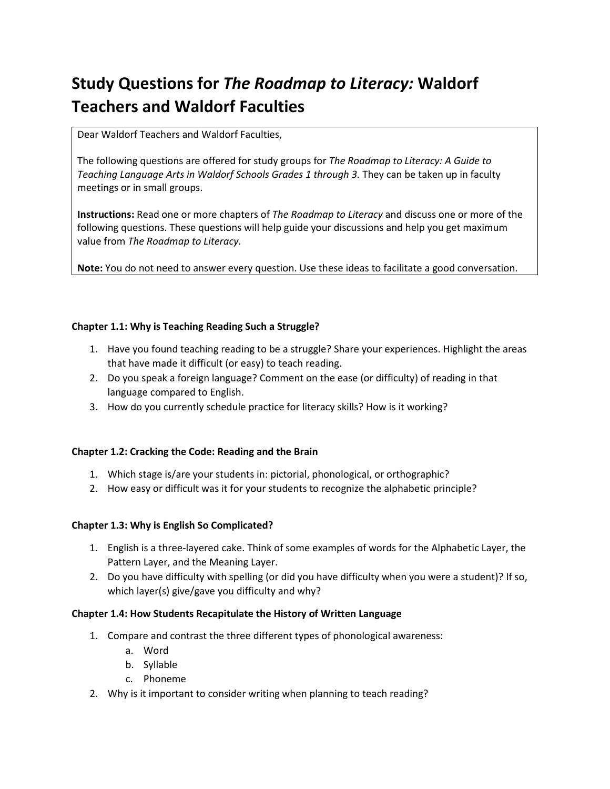# **Study Questions for** *The Roadmap to Literacy:* **Waldorf Teachers and Waldorf Faculties**

Dear Waldorf Teachers and Waldorf Faculties,

The following questions are offered for study groups for *The Roadmap to Literacy: A Guide to*  Teaching Language Arts in Waldorf Schools Grades 1 through 3. They can be taken up in faculty meetings or in small groups.

**Instructions:** Read one or more chapters of *The Roadmap to Literacy* and discuss one or more of the following questions. These questions will help guide your discussions and help you get maximum value from *The Roadmap to Literacy.* 

**Note:** You do not need to answer every question. Use these ideas to facilitate a good conversation.

## **Chapter 1.1: Why is Teaching Reading Such a Struggle?**

- 1. Have you found teaching reading to be a struggle? Share your experiences. Highlight the areas that have made it difficult (or easy) to teach reading.
- 2. Do you speak a foreign language? Comment on the ease (or difficulty) of reading in that language compared to English.
- 3. How do you currently schedule practice for literacy skills? How is it working?

#### **Chapter 1.2: Cracking the Code: Reading and the Brain**

- 1. Which stage is/are your students in: pictorial, phonological, or orthographic?
- 2. How easy or difficult was it for your students to recognize the alphabetic principle?

#### **Chapter 1.3: Why is English So Complicated?**

- 1. English is a three-layered cake. Think of some examples of words for the Alphabetic Layer, the Pattern Layer, and the Meaning Layer.
- 2. Do you have difficulty with spelling (or did you have difficulty when you were a student)? If so, which layer(s) give/gave you difficulty and why?

#### **Chapter 1.4: How Students Recapitulate the History of Written Language**

- 1. Compare and contrast the three different types of phonological awareness:
	- a. Word
	- b. Syllable
	- c. Phoneme
- 2. Why is it important to consider writing when planning to teach reading?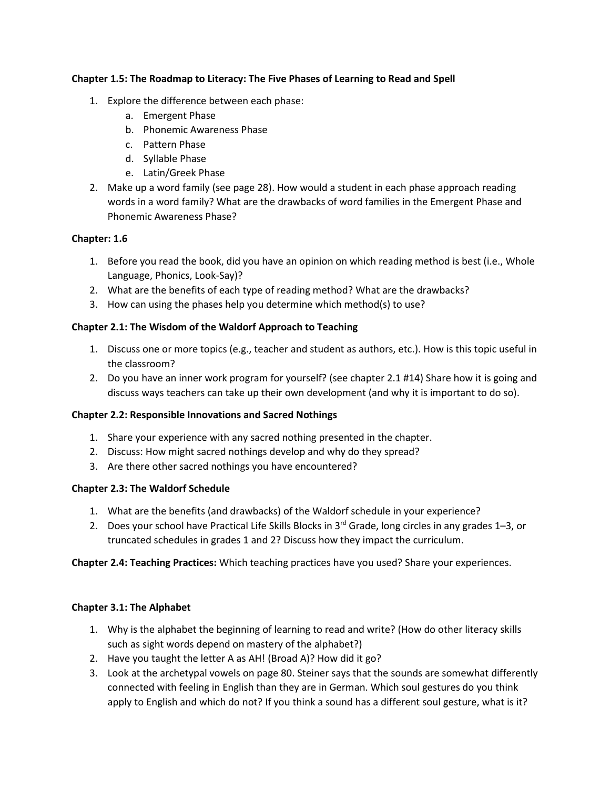## **Chapter 1.5: The Roadmap to Literacy: The Five Phases of Learning to Read and Spell**

- 1. Explore the difference between each phase:
	- a. Emergent Phase
	- b. Phonemic Awareness Phase
	- c. Pattern Phase
	- d. Syllable Phase
	- e. Latin/Greek Phase
- 2. Make up a word family (see page 28). How would a student in each phase approach reading words in a word family? What are the drawbacks of word families in the Emergent Phase and Phonemic Awareness Phase?

## **Chapter: 1.6**

- 1. Before you read the book, did you have an opinion on which reading method is best (i.e., Whole Language, Phonics, Look-Say)?
- 2. What are the benefits of each type of reading method? What are the drawbacks?
- 3. How can using the phases help you determine which method(s) to use?

## **Chapter 2.1: The Wisdom of the Waldorf Approach to Teaching**

- 1. Discuss one or more topics (e.g., teacher and student as authors, etc.). How is this topic useful in the classroom?
- 2. Do you have an inner work program for yourself? (see chapter 2.1 #14) Share how it is going and discuss ways teachers can take up their own development (and why it is important to do so).

#### **Chapter 2.2: Responsible Innovations and Sacred Nothings**

- 1. Share your experience with any sacred nothing presented in the chapter.
- 2. Discuss: How might sacred nothings develop and why do they spread?
- 3. Are there other sacred nothings you have encountered?

#### **Chapter 2.3: The Waldorf Schedule**

- 1. What are the benefits (and drawbacks) of the Waldorf schedule in your experience?
- 2. Does your school have Practical Life Skills Blocks in 3<sup>rd</sup> Grade, long circles in any grades 1–3, or truncated schedules in grades 1 and 2? Discuss how they impact the curriculum.

**Chapter 2.4: Teaching Practices:** Which teaching practices have you used? Share your experiences.

#### **Chapter 3.1: The Alphabet**

- 1. Why is the alphabet the beginning of learning to read and write? (How do other literacy skills such as sight words depend on mastery of the alphabet?)
- 2. Have you taught the letter A as AH! (Broad A)? How did it go?
- 3. Look at the archetypal vowels on page 80. Steiner says that the sounds are somewhat differently connected with feeling in English than they are in German. Which soul gestures do you think apply to English and which do not? If you think a sound has a different soul gesture, what is it?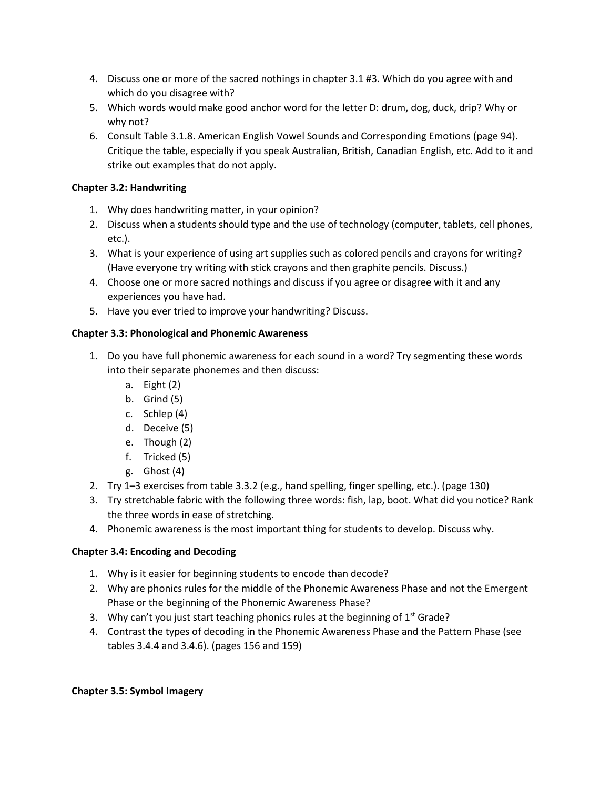- 4. Discuss one or more of the sacred nothings in chapter 3.1 #3. Which do you agree with and which do you disagree with?
- 5. Which words would make good anchor word for the letter D: drum, dog, duck, drip? Why or why not?
- 6. Consult Table 3.1.8. American English Vowel Sounds and Corresponding Emotions (page 94). Critique the table, especially if you speak Australian, British, Canadian English, etc. Add to it and strike out examples that do not apply.

# **Chapter 3.2: Handwriting**

- 1. Why does handwriting matter, in your opinion?
- 2. Discuss when a students should type and the use of technology (computer, tablets, cell phones, etc.).
- 3. What is your experience of using art supplies such as colored pencils and crayons for writing? (Have everyone try writing with stick crayons and then graphite pencils. Discuss.)
- 4. Choose one or more sacred nothings and discuss if you agree or disagree with it and any experiences you have had.
- 5. Have you ever tried to improve your handwriting? Discuss.

# **Chapter 3.3: Phonological and Phonemic Awareness**

- 1. Do you have full phonemic awareness for each sound in a word? Try segmenting these words into their separate phonemes and then discuss:
	- a. Eight (2)
	- b. Grind (5)
	- c. Schlep (4)
	- d. Deceive (5)
	- e. Though (2)
	- f. Tricked (5)
	- g. Ghost (4)
- 2. Try 1–3 exercises from table 3.3.2 (e.g., hand spelling, finger spelling, etc.). (page 130)
- 3. Try stretchable fabric with the following three words: fish, lap, boot. What did you notice? Rank the three words in ease of stretching.
- 4. Phonemic awareness is the most important thing for students to develop. Discuss why.

# **Chapter 3.4: Encoding and Decoding**

- 1. Why is it easier for beginning students to encode than decode?
- 2. Why are phonics rules for the middle of the Phonemic Awareness Phase and not the Emergent Phase or the beginning of the Phonemic Awareness Phase?
- 3. Why can't you just start teaching phonics rules at the beginning of  $1<sup>st</sup>$  Grade?
- 4. Contrast the types of decoding in the Phonemic Awareness Phase and the Pattern Phase (see tables 3.4.4 and 3.4.6). (pages 156 and 159)

# **Chapter 3.5: Symbol Imagery**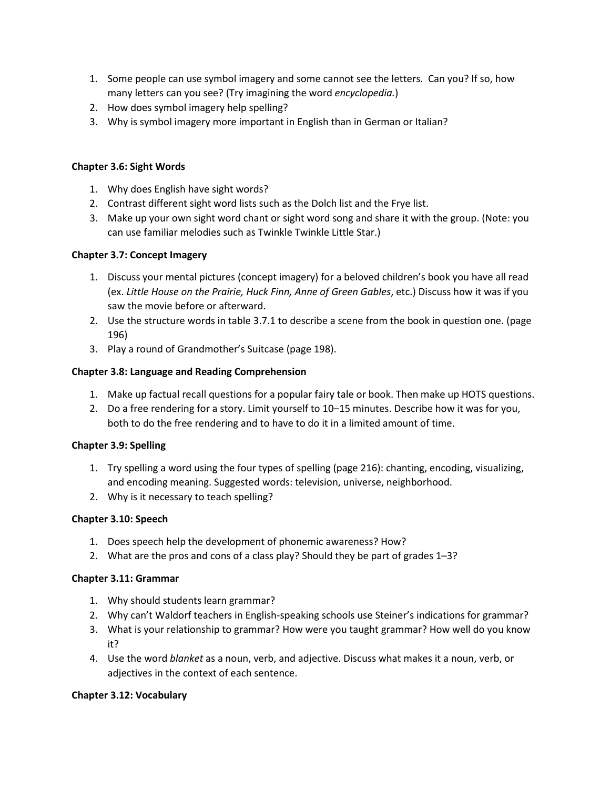- 1. Some people can use symbol imagery and some cannot see the letters. Can you? If so, how many letters can you see? (Try imagining the word *encyclopedia.*)
- 2. How does symbol imagery help spelling?
- 3. Why is symbol imagery more important in English than in German or Italian?

## **Chapter 3.6: Sight Words**

- 1. Why does English have sight words?
- 2. Contrast different sight word lists such as the Dolch list and the Frye list.
- 3. Make up your own sight word chant or sight word song and share it with the group. (Note: you can use familiar melodies such as Twinkle Twinkle Little Star.)

## **Chapter 3.7: Concept Imagery**

- 1. Discuss your mental pictures (concept imagery) for a beloved children's book you have all read (ex. *Little House on the Prairie, Huck Finn, Anne of Green Gables*, etc.) Discuss how it was if you saw the movie before or afterward.
- 2. Use the structure words in table 3.7.1 to describe a scene from the book in question one. (page 196)
- 3. Play a round of Grandmother's Suitcase (page 198).

## **Chapter 3.8: Language and Reading Comprehension**

- 1. Make up factual recall questions for a popular fairy tale or book. Then make up HOTS questions.
- 2. Do a free rendering for a story. Limit yourself to 10–15 minutes. Describe how it was for you, both to do the free rendering and to have to do it in a limited amount of time.

#### **Chapter 3.9: Spelling**

- 1. Try spelling a word using the four types of spelling (page 216): chanting, encoding, visualizing, and encoding meaning. Suggested words: television, universe, neighborhood.
- 2. Why is it necessary to teach spelling?

#### **Chapter 3.10: Speech**

- 1. Does speech help the development of phonemic awareness? How?
- 2. What are the pros and cons of a class play? Should they be part of grades 1–3?

#### **Chapter 3.11: Grammar**

- 1. Why should students learn grammar?
- 2. Why can't Waldorf teachers in English-speaking schools use Steiner's indications for grammar?
- 3. What is your relationship to grammar? How were you taught grammar? How well do you know it?
- 4. Use the word *blanket* as a noun, verb, and adjective. Discuss what makes it a noun, verb, or adjectives in the context of each sentence.

#### **Chapter 3.12: Vocabulary**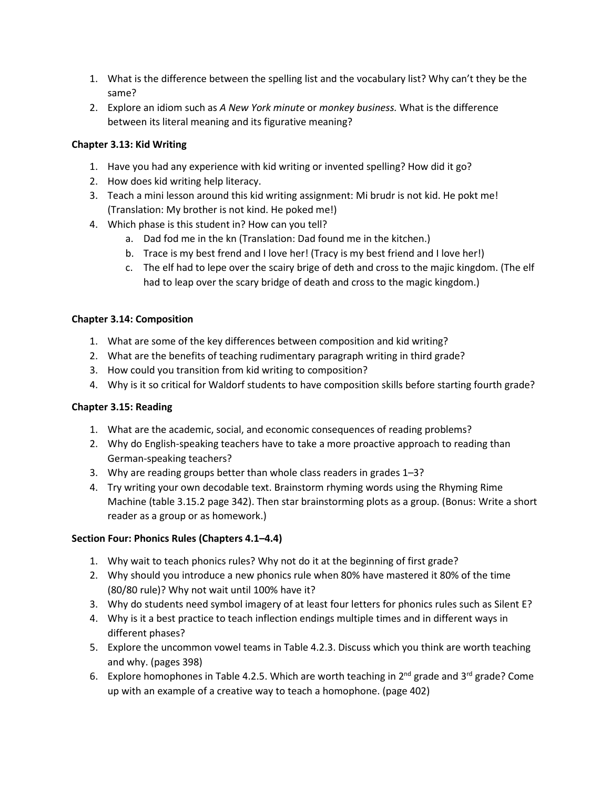- 1. What is the difference between the spelling list and the vocabulary list? Why can't they be the same?
- 2. Explore an idiom such as *A New York minute* or *monkey business.* What is the difference between its literal meaning and its figurative meaning?

# **Chapter 3.13: Kid Writing**

- 1. Have you had any experience with kid writing or invented spelling? How did it go?
- 2. How does kid writing help literacy.
- 3. Teach a mini lesson around this kid writing assignment: Mi brudr is not kid. He pokt me! (Translation: My brother is not kind. He poked me!)
- 4. Which phase is this student in? How can you tell?
	- a. Dad fod me in the kn (Translation: Dad found me in the kitchen.)
	- b. Trace is my best frend and I love her! (Tracy is my best friend and I love her!)
	- c. The elf had to lepe over the scairy brige of deth and cross to the majic kingdom. (The elf had to leap over the scary bridge of death and cross to the magic kingdom.)

## **Chapter 3.14: Composition**

- 1. What are some of the key differences between composition and kid writing?
- 2. What are the benefits of teaching rudimentary paragraph writing in third grade?
- 3. How could you transition from kid writing to composition?
- 4. Why is it so critical for Waldorf students to have composition skills before starting fourth grade?

# **Chapter 3.15: Reading**

- 1. What are the academic, social, and economic consequences of reading problems?
- 2. Why do English-speaking teachers have to take a more proactive approach to reading than German-speaking teachers?
- 3. Why are reading groups better than whole class readers in grades 1–3?
- 4. Try writing your own decodable text. Brainstorm rhyming words using the Rhyming Rime Machine (table 3.15.2 page 342). Then star brainstorming plots as a group. (Bonus: Write a short reader as a group or as homework.)

# **Section Four: Phonics Rules (Chapters 4.1–4.4)**

- 1. Why wait to teach phonics rules? Why not do it at the beginning of first grade?
- 2. Why should you introduce a new phonics rule when 80% have mastered it 80% of the time (80/80 rule)? Why not wait until 100% have it?
- 3. Why do students need symbol imagery of at least four letters for phonics rules such as Silent E?
- 4. Why is it a best practice to teach inflection endings multiple times and in different ways in different phases?
- 5. Explore the uncommon vowel teams in Table 4.2.3. Discuss which you think are worth teaching and why. (pages 398)
- 6. Explore homophones in Table 4.2.5. Which are worth teaching in  $2^{nd}$  grade and  $3^{rd}$  grade? Come up with an example of a creative way to teach a homophone. (page 402)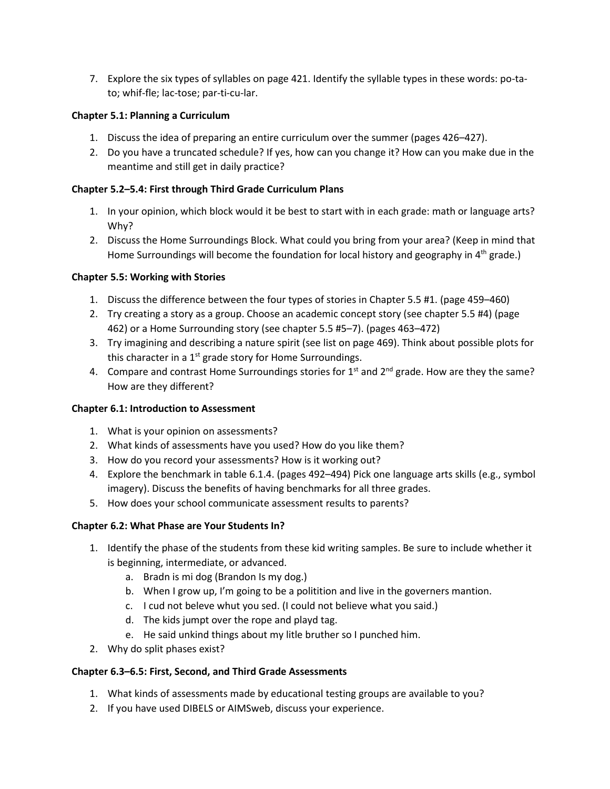7. Explore the six types of syllables on page 421. Identify the syllable types in these words: po-tato; whif-fle; lac-tose; par-ti-cu-lar.

## **Chapter 5.1: Planning a Curriculum**

- 1. Discuss the idea of preparing an entire curriculum over the summer (pages 426–427).
- 2. Do you have a truncated schedule? If yes, how can you change it? How can you make due in the meantime and still get in daily practice?

## **Chapter 5.2–5.4: First through Third Grade Curriculum Plans**

- 1. In your opinion, which block would it be best to start with in each grade: math or language arts? Why?
- 2. Discuss the Home Surroundings Block. What could you bring from your area? (Keep in mind that Home Surroundings will become the foundation for local history and geography in 4<sup>th</sup> grade.)

## **Chapter 5.5: Working with Stories**

- 1. Discuss the difference between the four types of stories in Chapter 5.5 #1. (page 459–460)
- 2. Try creating a story as a group. Choose an academic concept story (see chapter 5.5 #4) (page 462) or a Home Surrounding story (see chapter 5.5 #5–7). (pages 463–472)
- 3. Try imagining and describing a nature spirit (see list on page 469). Think about possible plots for this character in a  $1<sup>st</sup>$  grade story for Home Surroundings.
- 4. Compare and contrast Home Surroundings stories for  $1<sup>st</sup>$  and  $2<sup>nd</sup>$  grade. How are they the same? How are they different?

#### **Chapter 6.1: Introduction to Assessment**

- 1. What is your opinion on assessments?
- 2. What kinds of assessments have you used? How do you like them?
- 3. How do you record your assessments? How is it working out?
- 4. Explore the benchmark in table 6.1.4. (pages 492–494) Pick one language arts skills (e.g., symbol imagery). Discuss the benefits of having benchmarks for all three grades.
- 5. How does your school communicate assessment results to parents?

#### **Chapter 6.2: What Phase are Your Students In?**

- 1. Identify the phase of the students from these kid writing samples. Be sure to include whether it is beginning, intermediate, or advanced.
	- a. Bradn is mi dog (Brandon Is my dog.)
	- b. When I grow up, I'm going to be a politition and live in the governers mantion.
	- c. I cud not beleve whut you sed. (I could not believe what you said.)
	- d. The kids jumpt over the rope and playd tag.
	- e. He said unkind things about my litle bruther so I punched him.
- 2. Why do split phases exist?

#### **Chapter 6.3–6.5: First, Second, and Third Grade Assessments**

- 1. What kinds of assessments made by educational testing groups are available to you?
- 2. If you have used DIBELS or AIMSweb, discuss your experience.